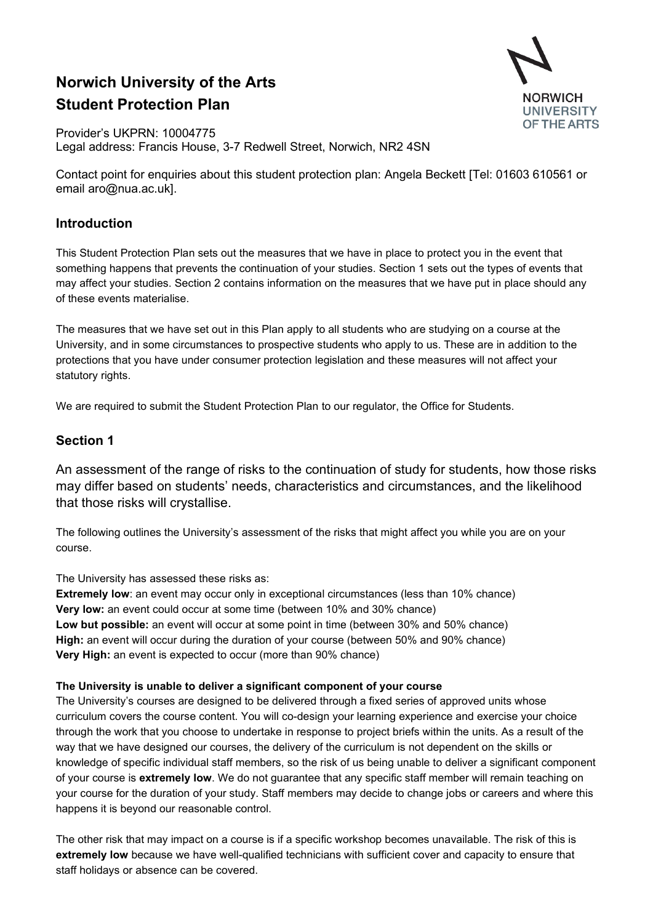# **Norwich University of the Arts Student Protection Plan**



Provider's UKPRN: 10004775 Legal address: Francis House, 3-7 Redwell Street, Norwich, NR2 4SN

Contact point for enquiries about this student protection plan: Angela Beckett [Tel: 01603 610561 or email [aro@nua.ac.uk\]](mailto:aro@nua.ac.uk).

# **Introduction**

This Student Protection Plan sets out the measures that we have in place to protect you in the event that something happens that prevents the continuation of your studies. Section 1 sets out the types of events that may affect your studies. Section 2 contains information on the measures that we have put in place should any of these events materialise.

The measures that we have set out in this Plan apply to all students who are studying on a course at the University, and in some circumstances to prospective students who apply to us. These are in addition to the protections that you have under consumer protection legislation and these measures will not affect your statutory rights.

We are required to submit the Student Protection Plan to our regulator, the Office for Students.

# **Section 1**

An assessment of the range of risks to the continuation of study for students, how those risks may differ based on students' needs, characteristics and circumstances, and the likelihood that those risks will crystallise.

The following outlines the University's assessment of the risks that might affect you while you are on your course.

The University has assessed these risks as:

**Extremely low**: an event may occur only in exceptional circumstances (less than 10% chance) **Very low:** an event could occur at some time (between 10% and 30% chance) **Low but possible:** an event will occur at some point in time (between 30% and 50% chance) **High:** an event will occur during the duration of your course (between 50% and 90% chance) **Very High:** an event is expected to occur (more than 90% chance)

### **The University is unable to deliver a significant component of your course**

The University's courses are designed to be delivered through a fixed series of approved units whose curriculum covers the course content. You will co-design your learning experience and exercise your choice through the work that you choose to undertake in response to project briefs within the units. As a result of the way that we have designed our courses, the delivery of the curriculum is not dependent on the skills or knowledge of specific individual staff members, so the risk of us being unable to deliver a significant component of your course is **extremely low**. We do not guarantee that any specific staff member will remain teaching on your course for the duration of your study. Staff members may decide to change jobs or careers and where this happens it is beyond our reasonable control.

The other risk that may impact on a course is if a specific workshop becomes unavailable. The risk of this is **extremely low** because we have well-qualified technicians with sufficient cover and capacity to ensure that staff holidays or absence can be covered.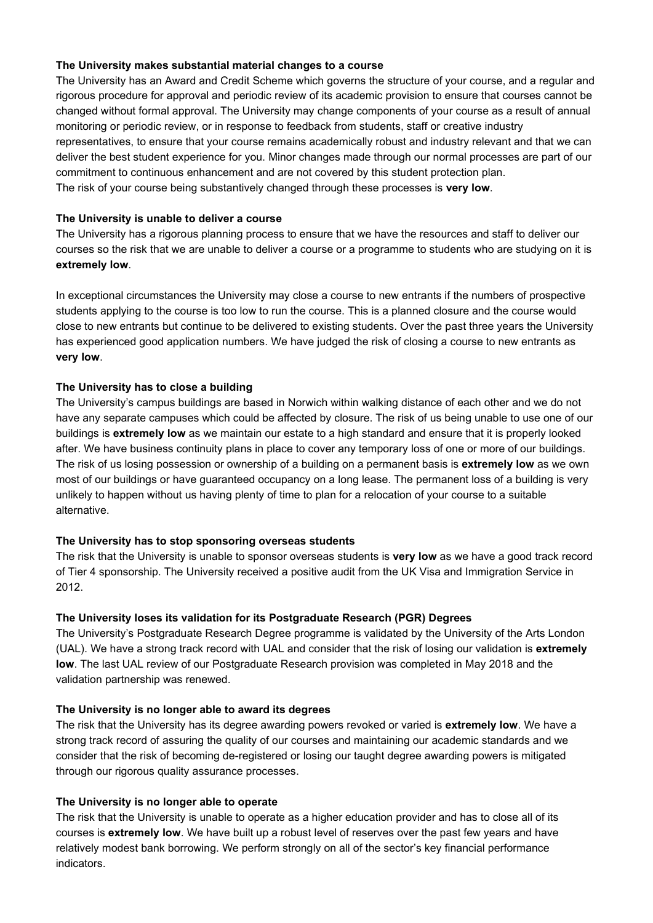### **The University makes substantial material changes to a course**

The University has an Award and Credit Scheme which governs the structure of your course, and a regular and rigorous procedure for approval and periodic review of its academic provision to ensure that courses cannot be changed without formal approval. The University may change components of your course as a result of annual monitoring or periodic review, or in response to feedback from students, staff or creative industry representatives, to ensure that your course remains academically robust and industry relevant and that we can deliver the best student experience for you. Minor changes made through our normal processes are part of our commitment to continuous enhancement and are not covered by this student protection plan. The risk of your course being substantively changed through these processes is **very low**.

### **The University is unable to deliver a course**

The University has a rigorous planning process to ensure that we have the resources and staff to deliver our courses so the risk that we are unable to deliver a course or a programme to students who are studying on it is **extremely low**.

In exceptional circumstances the University may close a course to new entrants if the numbers of prospective students applying to the course is too low to run the course. This is a planned closure and the course would close to new entrants but continue to be delivered to existing students. Over the past three years the University has experienced good application numbers. We have judged the risk of closing a course to new entrants as **very low**.

### **The University has to close a building**

The University's campus buildings are based in Norwich within walking distance of each other and we do not have any separate campuses which could be affected by closure. The risk of us being unable to use one of our buildings is **extremely low** as we maintain our estate to a high standard and ensure that it is properly looked after. We have business continuity plans in place to cover any temporary loss of one or more of our buildings. The risk of us losing possession or ownership of a building on a permanent basis is **extremely low** as we own most of our buildings or have guaranteed occupancy on a long lease. The permanent loss of a building is very unlikely to happen without us having plenty of time to plan for a relocation of your course to a suitable alternative.

### **The University has to stop sponsoring overseas students**

The risk that the University is unable to sponsor overseas students is **very low** as we have a good track record of Tier 4 sponsorship. The University received a positive audit from the UK Visa and Immigration Service in 2012.

### **The University loses its validation for its Postgraduate Research (PGR) Degrees**

The University's Postgraduate Research Degree programme is validated by the University of the Arts London (UAL). We have a strong track record with UAL and consider that the risk of losing our validation is **extremely low**. The last UAL review of our Postgraduate Research provision was completed in May 2018 and the validation partnership was renewed.

### **The University is no longer able to award its degrees**

The risk that the University has its degree awarding powers revoked or varied is **extremely low**. We have a strong track record of assuring the quality of our courses and maintaining our academic standards and we consider that the risk of becoming de-registered or losing our taught degree awarding powers is mitigated through our rigorous quality assurance processes.

### **The University is no longer able to operate**

The risk that the University is unable to operate as a higher education provider and has to close all of its courses is **extremely low**. We have built up a robust level of reserves over the past few years and have relatively modest bank borrowing. We perform strongly on all of the sector's key financial performance indicators.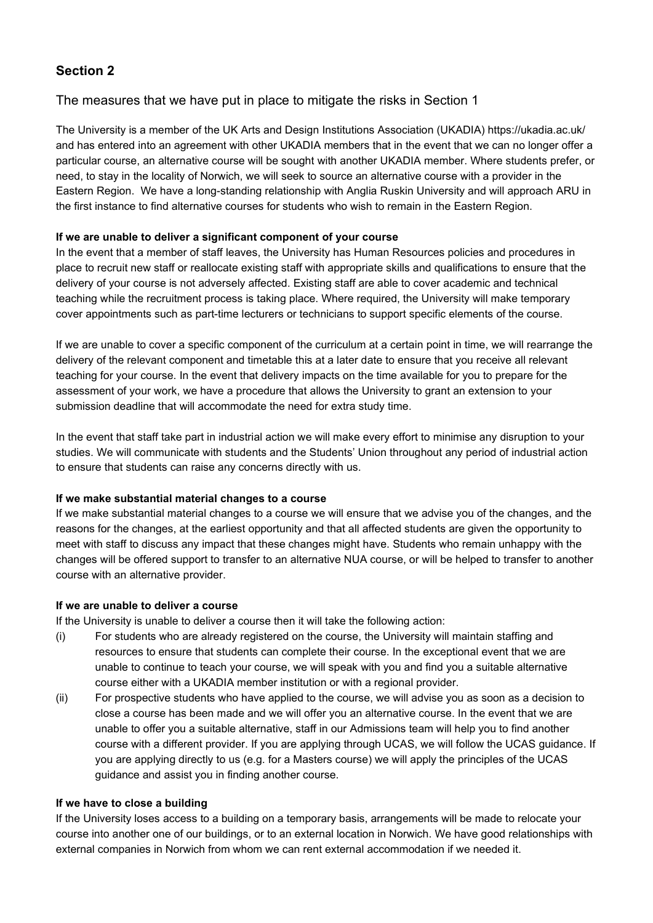# **Section 2**

# The measures that we have put in place to mitigate the risks in Section 1

The University is a member of the UK Arts and Design Institutions Association (UKADIA)<https://ukadia.ac.uk/> and has entered into an agreement with other UKADIA members that in the event that we can no longer offer a particular course, an alternative course will be sought with another UKADIA member. Where students prefer, or need, to stay in the locality of Norwich, we will seek to source an alternative course with a provider in the Eastern Region. We have a long-standing relationship with Anglia Ruskin University and will approach ARU in the first instance to find alternative courses for students who wish to remain in the Eastern Region.

### **If we are unable to deliver a significant component of your course**

In the event that a member of staff leaves, the University has Human Resources policies and procedures in place to recruit new staff or reallocate existing staff with appropriate skills and qualifications to ensure that the delivery of your course is not adversely affected. Existing staff are able to cover academic and technical teaching while the recruitment process is taking place. Where required, the University will make temporary cover appointments such as part-time lecturers or technicians to support specific elements of the course.

If we are unable to cover a specific component of the curriculum at a certain point in time, we will rearrange the delivery of the relevant component and timetable this at a later date to ensure that you receive all relevant teaching for your course. In the event that delivery impacts on the time available for you to prepare for the assessment of your work, we have a procedure that allows the University to grant an extension to your submission deadline that will accommodate the need for extra study time.

In the event that staff take part in industrial action we will make every effort to minimise any disruption to your studies. We will communicate with students and the Students' Union throughout any period of industrial action to ensure that students can raise any concerns directly with us.

### **If we make substantial material changes to a course**

If we make substantial material changes to a course we will ensure that we advise you of the changes, and the reasons for the changes, at the earliest opportunity and that all affected students are given the opportunity to meet with staff to discuss any impact that these changes might have. Students who remain unhappy with the changes will be offered support to transfer to an alternative NUA course, or will be helped to transfer to another course with an alternative provider.

### **If we are unable to deliver a course**

If the University is unable to deliver a course then it will take the following action:

- (i) For students who are already registered on the course, the University will maintain staffing and resources to ensure that students can complete their course. In the exceptional event that we are unable to continue to teach your course, we will speak with you and find you a suitable alternative course either with a UKADIA member institution or with a regional provider.
- (ii) For prospective students who have applied to the course, we will advise you as soon as a decision to close a course has been made and we will offer you an alternative course. In the event that we are unable to offer you a suitable alternative, staff in our Admissions team will help you to find another course with a different provider. If you are applying through UCAS, we will follow the UCAS guidance. If you are applying directly to us (e.g. for a Masters course) we will apply the principles of the UCAS guidance and assist you in finding another course.

### **If we have to close a building**

If the University loses access to a building on a temporary basis, arrangements will be made to relocate your course into another one of our buildings, or to an external location in Norwich. We have good relationships with external companies in Norwich from whom we can rent external accommodation if we needed it.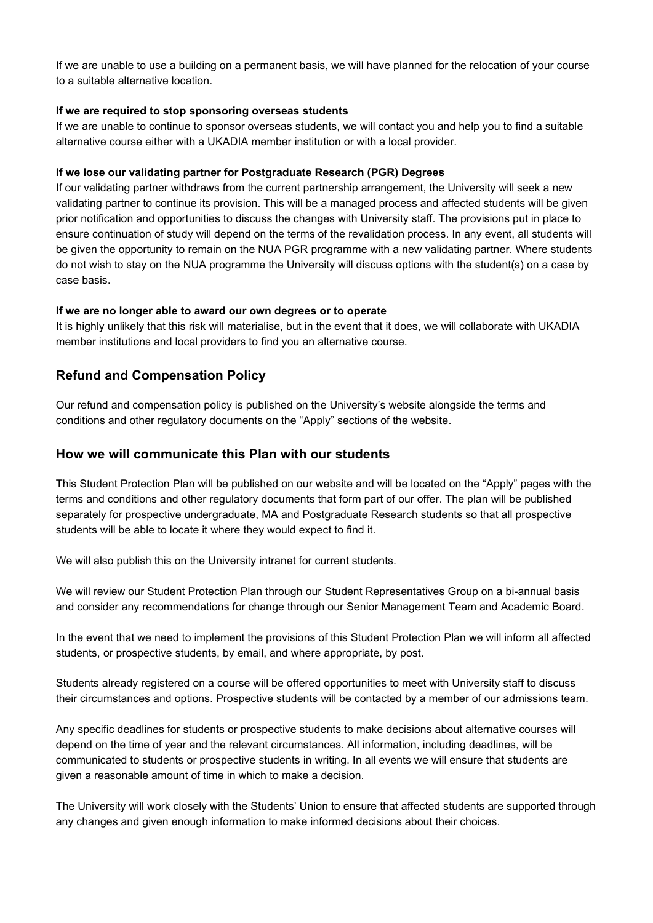If we are unable to use a building on a permanent basis, we will have planned for the relocation of your course to a suitable alternative location.

### **If we are required to stop sponsoring overseas students**

If we are unable to continue to sponsor overseas students, we will contact you and help you to find a suitable alternative course either with a UKADIA member institution or with a local provider.

#### **If we lose our validating partner for Postgraduate Research (PGR) Degrees**

If our validating partner withdraws from the current partnership arrangement, the University will seek a new validating partner to continue its provision. This will be a managed process and affected students will be given prior notification and opportunities to discuss the changes with University staff. The provisions put in place to ensure continuation of study will depend on the terms of the revalidation process. In any event, all students will be given the opportunity to remain on the NUA PGR programme with a new validating partner. Where students do not wish to stay on the NUA programme the University will discuss options with the student(s) on a case by case basis.

#### **If we are no longer able to award our own degrees or to operate**

It is highly unlikely that this risk will materialise, but in the event that it does, we will collaborate with UKADIA member institutions and local providers to find you an alternative course.

## **Refund and Compensation Policy**

Our refund and compensation policy is published on the University's website alongside the terms and conditions and other regulatory documents on the "Apply" sections of the website.

### **How we will communicate this Plan with our students**

This Student Protection Plan will be published on our website and will be located on the "Apply" pages with the terms and conditions and other regulatory documents that form part of our offer. The plan will be published separately for prospective undergraduate, MA and Postgraduate Research students so that all prospective students will be able to locate it where they would expect to find it.

We will also publish this on the University intranet for current students.

We will review our Student Protection Plan through our Student Representatives Group on a bi-annual basis and consider any recommendations for change through our Senior Management Team and Academic Board.

In the event that we need to implement the provisions of this Student Protection Plan we will inform all affected students, or prospective students, by email, and where appropriate, by post.

Students already registered on a course will be offered opportunities to meet with University staff to discuss their circumstances and options. Prospective students will be contacted by a member of our admissions team.

Any specific deadlines for students or prospective students to make decisions about alternative courses will depend on the time of year and the relevant circumstances. All information, including deadlines, will be communicated to students or prospective students in writing. In all events we will ensure that students are given a reasonable amount of time in which to make a decision.

The University will work closely with the Students' Union to ensure that affected students are supported through any changes and given enough information to make informed decisions about their choices.